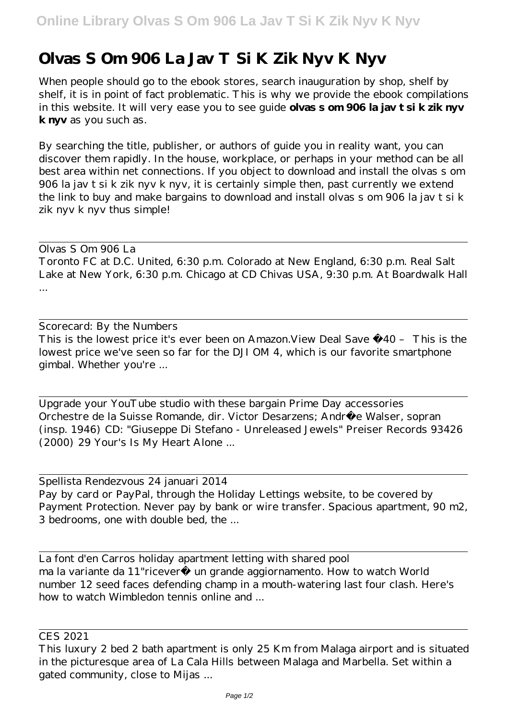## **Olvas S Om 906 La Jav T Si K Zik Nyv K Nyv**

When people should go to the ebook stores, search inauguration by shop, shelf by shelf, it is in point of fact problematic. This is why we provide the ebook compilations in this website. It will very ease you to see guide **olvas s om 906 la jav t si k zik nyv k nyv** as you such as.

By searching the title, publisher, or authors of guide you in reality want, you can discover them rapidly. In the house, workplace, or perhaps in your method can be all best area within net connections. If you object to download and install the olvas s om 906 la jav t si k zik nyv k nyv, it is certainly simple then, past currently we extend the link to buy and make bargains to download and install olvas s om 906 la jav t si k zik nyv k nyv thus simple!

Olvas S Om 906 La Toronto FC at D.C. United, 6:30 p.m. Colorado at New England, 6:30 p.m. Real Salt Lake at New York, 6:30 p.m. Chicago at CD Chivas USA, 9:30 p.m. At Boardwalk Hall ...

Scorecard: By the Numbers This is the lowest price it's ever been on Amazon.View Deal Save £40 – This is the lowest price we've seen so far for the DJI OM 4, which is our favorite smartphone gimbal. Whether you're ...

Upgrade your YouTube studio with these bargain Prime Day accessories Orchestre de la Suisse Romande, dir. Victor Desarzens; André e Walser, sopran (insp. 1946) CD: "Giuseppe Di Stefano - Unreleased Jewels" Preiser Records 93426 (2000) 29 Your's Is My Heart Alone ...

Spellista Rendezvous 24 januari 2014 Pay by card or PayPal, through the Holiday Lettings website, to be covered by Payment Protection. Never pay by bank or wire transfer. Spacious apartment, 90 m2, 3 bedrooms, one with double bed, the ...

La font d'en Carros holiday apartment letting with shared pool ma la variante da 11"riceverà un grande aggiornamento. How to watch World number 12 seed faces defending champ in a mouth-watering last four clash. Here's how to watch Wimbledon tennis online and ...

CES 2021

This luxury 2 bed 2 bath apartment is only 25 Km from Malaga airport and is situated in the picturesque area of La Cala Hills between Malaga and Marbella. Set within a gated community, close to Mijas ...